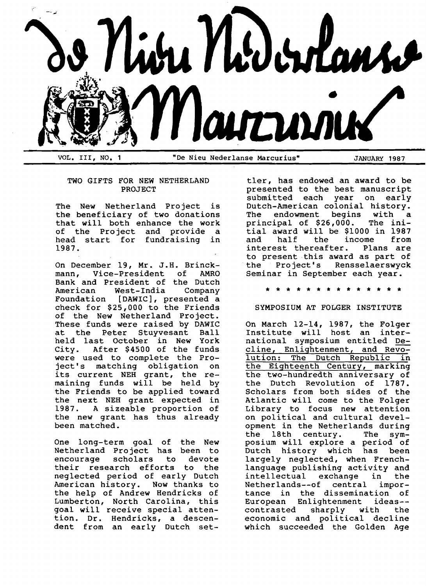

## TWO GIFTS FOR NEW NETHERLAND PROJECT

The New Netherland Project is the beneficiary of two donations that will both enhance the work of the Project and provide a head start for fundraising in 1987.

On December 19, Mr. J.H. Brinckmann, Vice-President of AMRO Bank and President of the Dutch West-India Foundation [DAWIC], presented a check for \$25,000 to the Friends of the New Netherland Project. These funds were raised by DAWIC at the Peter Stuyvesant Ball held last October in New York<br>City. After \$4500 of the funds After \$4500 of the funds were used to complete the Project's matching obligation on its current NEH grant, the remaining funds will be held by the Friends to be applied toward the next NEH grant expected in 1987. A sizeable proportion of the new grant has thus already been matched.

One long-term goal of the New Netherland Project has been to encourage scholars to devote their research efforts to the neglected period of early Dutch American history. Now thanks to the help of Andrew Hendricks of Lumberton, North Carolina, this goal will receive special attention. Dr. Hendricks, a descendent from an early Dutch set-

tler, has endowed an award to be presented to the best manuscript<br>submitted each year on early submitted each year on Dutch-American colonial history.<br>The endowment begins with a endowment begins with a<br>ipal of \$26,000. The iniprincipal of  $$26,000$ . tial award will be \$1000 in 1987 income from<br>c. Plans are interest thereafter. to present this award as part of the Project's Rensselaerswyck Seminar in September each year.

\* \* \* \* \* \* \* \* \* \* \* \*

# SYMPOSIUM AT FOLGER INSTITUTE

On March 12-14, 1987, the Folger Institute will host an international symposium entitled Decline, Enlightenment, and Revolution: The Dutch Republic in the Eighteenth Century, marking the two-hundredth anniversary of the Dutch Revolution of 1787. Scholars from both sides of the Atlantic will come to the Folger Library to focus new attention on political and cultural development in the Netherlands during<br>the 18th century. The symthe 18th century. posium will explore a period of<br>Dutch history which has been Dutch history which has largely neglected, when Frenchlanguage publishing activity and intellectual exchange in the Netherlands--of central importance in the dissemination of European Enlightenment ideas--<br>contrasted sharply with the contrasted sharply with the economic and political decline which succeeded the Golden Age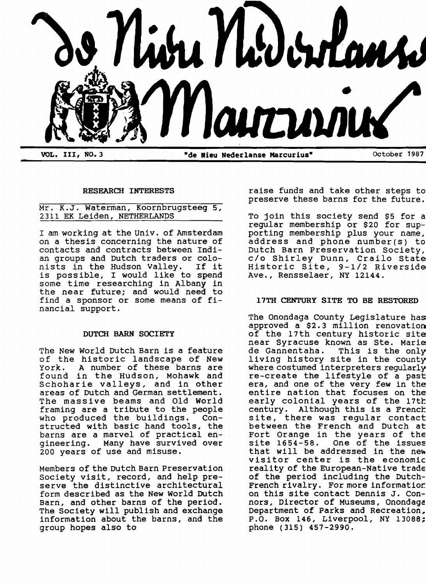

## RESEARCH INTERESTS

# Mr. K.J. Waterman, Koornbrugsteeg 5, 2311 EK Leiden, NETHERLANDS

I am working at the Univ. of Amsterdam on a thesis concerning the nature of contacts and contracts between Indian groups and Dutch traders or colo-<br>nists in the Hudson Vallev. If it nists in the Hudson Valley. is possible, I would like to spend some time researching in Albany in the near future; and would need to find a sponsor or some means of financial support.

### DUTCH BARN SOCIETY

The New World Dutch Barn is a feature of the historic landscape of New<br>York. A number of these barns are A number of these barns are found in the Hudson, Mohawk and Schoharie valleys, and in other areas of Dutch and German settlement. The massive beams and Old World framing are a tribute to the people who produced the buildings. Constructed with basic hand tools, the barns are a marvel of practical engineering. Many have survived over 200 years of use and misuse.

Members of the Dutch Barn Preservation Society visit, record, and help preserve the distinctive architectural form described as the New World Dutch Barn, and other barns of the period. The Society will publish and exchange information about the barns, and the group hopes also to

raise funds and take other steps to preserve these barns for the future.

To join this society send \$5 for a regular membership or \$20 for supporting membership plus your name, address and phone number(s) to Dutch Barn Preservation Society, c/o Shirley Dunn, Crailo State Historic Site, 9-1/2 Riverside Ave., Rensselaer, NY 12144.

# 17TH CENTURY SITE TO BE RESTORED

The Onondaga County Legislature has approved a \$2.3 million renovation of the 17th century historic site near Syracuse known as Ste. Marie de Gannentaha. This is the only living history site in the county where costumed interpreters regularly re-create the lifestyle of a past era, and one of the very few in the entire nation that focuses on the early colonial years of the 17th century. Although this is a French site, there was regular contact between the French and Dutch at Fort Orange in the years of the<br>site 1654-58. One of the issues One of the issues that will be addressed in the new visitor center is the economic reality of the European-Native trade of the period including the Dutch-French rivalry. For more informatior: on this site contact Dennis J. Connors, Director of Museums, Onondaga Department of Parks and Recreation, P.O. Box 146, Liverpool, NY 13088; phone (315) 457-2990.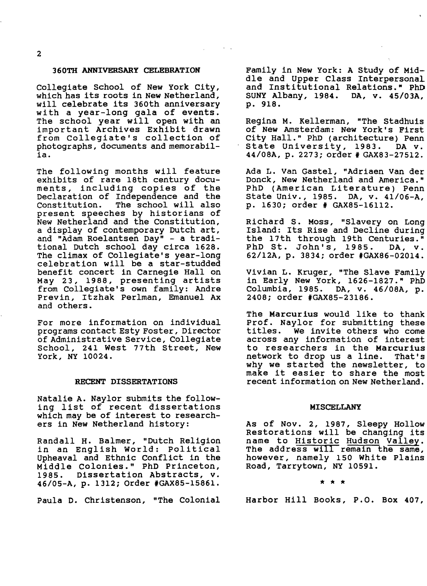## 360TH ANNIVERSARY CELEBRATION

Collegiate School of New York City, which has its roots in New Netherland, will celebrate its 360th anniversary with a year-long gala of events. The school year will open with an important Archives Exhibit drawn from Collegiate's collection of photographs, documents and memorabilia.

The following months will feature exhibits of rare 18th century documents, including copies of the Declaration of Independence and the<br>Constitution. The school will also The school will also present speeches by historians of New Netherland and the Constitution, a display of contemporary Dutch art, and "Adam Roelantsen Day" - a traditional Dutch school day circa 1628. The climax of Collegiate's year-long celebration will be a star-studded benefit concert in Carnegie Hall on May 23, 1988, presenting artists from Collegiate's own family: Andre Previn, Itzhak Perlman, Emanuel Ax and others.

For more information on individual programs contact Esty Foster, Director of Administrative Service, Collegiate School, 241 west 77th Street, New York, NY 10024.

#### RECENT DISSERTATIONS

Natalie A. Naylor submits the following list of recent dissertations which may be of interest to researchers in New Netherland history:

Randall H. Balmer, "Dutch Religion in an English World: Political Upheaval and Ethnic Conflict in the Middle Colonies." PhD Princeton,<br>1985. Dissertation Abstracts, v. Dissertation Abstracts, v. 46/05-A, p. 1312; Order #GAX85-15861.

Paula D. Christenson, "The Colonial

Family in New York: A Study of Middle and Upper Class Interpersonal and Institutional Relations." PhD SUNY Albany, 1984. DA, v. 45/03A, p . 918.

Regina M. Kellerman, "The Stadhuis of New Amsterdam: New York's First City Hall." PhD (architecture) Penn State University, 1983. DA v. 44/08A, p. 2273; order # GAX83-27512.

Ada L. Van Gastel, "Adriaen Van der Donck, New Netherland and America." PhD (American Literature) Penn State Univ., 1985. DA, v. 41/06-A, p. 1630; order # GAX85-16112.

Richard S. Moss, "Slavery on Long Island: Its Rise and Decline during the 17th through 19th Centuries."<br>PhD St. John's, 1985. DA, v. PhD St. John's, 1985. 62/12A, p. 3834; order #GAX86-02014.

vivian L. Kruger, "The Slave Family in Early New York, 1626-1827." PhD Columbia, 1985. DA, v. 46/08A, p. 2408; order #GAX85-23186.

The Marcurius would like to thank Prof. Naylor for submitting these titles. We invite others who come across any information of interest to researchers in the Marcurius<br>network to drop us a line. That's network to drop us a line. why we started the newsletter, to make it easier to share the most recent information on New Netherland.

## MISCELLANY

As of Nov. 2, 1987, Sleepy Hollow Restorations will be changing its name to Historic Hudson Valley. The address will remain the same, however, namely 150 White Plains Road, Tarrytown, NY 10591.

 $\star$   $\star$   $\star$ 

Harbor Hill Books, P.O. Box 407,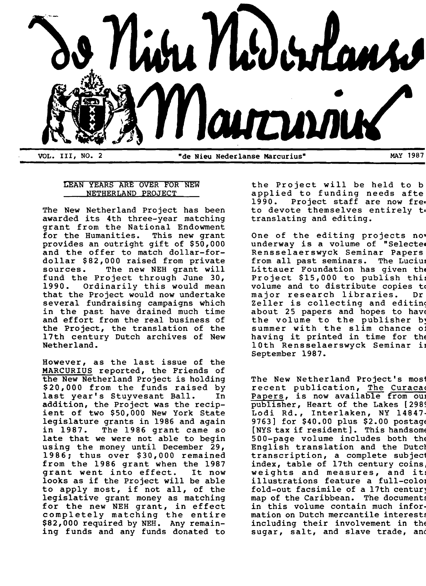

# LEAN YEARS ARE OVER FOR NEW NETHERLAND PROJECT

The New Netherland project has been awarded its 4th three-year matching grant from the National Endowment for the Humanities. This new grant provides an outright gift of \$50,000 and the offer to match dollar-fordollar \$82,000 raised from private sources. The new NEH grant will fund the Project through June 30, 1990. Ordinarily this would mean that the Project would now undertake several fundraising campaigns which in the past have drained much time and effort from the real business of the Project, the translation of the 17th century Dutch archives of New Netherland.

However, as the last issue of the MARCURIUS reported, the Friends of the New Netherland Project is holding \$20,000 from the funds raised by last year's Stuyvesant Ball. In addition, the Project was the recipient of two \$50,000 New York State legislature grants in 1986 and again in 1987. The 1986 grant came so late that we were not able to begin using the money until December 29, 1986; thus over \$30,000 remained from the 1986 grant when the 1987<br>grant went into effect. It now grant went into effect. looks as if the Project will be able to apply most, if not all, of the legislative grant money as matching for the new NEH grant, in effect completely matching the entire \$82,000 required by NEH. Any remaining funds and any funds donated to

the Project will be held to b applied to funding needs afte 1990. Project staff are now fre. to devote themselves entirely t. translating and editing.

One of the editing projects now underway is a volume of "Selected Rensselaerswyck Seminar Papers from all past seminars. The Lucius Littauer Foundation has given the Project \$15,000 to publish thi= volume and to distribute copies to major research libraries. Dr Zeller is collecting and editing about 25 papers and hopes to have the volume to the publisher by summer with the slim chance of summer with the siim chance of<br>having it printed in time for the 10th Rensselaerswyck Seminar in September 1987.

The New Netherland Project's most recent publication, The Curacae recent publication, <u>the curacat</u> publisher, Heart of the Lakes [2989] Lodi Rd., Interlaken, NY 14847 9763] for \$40.00 plus \$2.00 postage [NYS tax if resident]. This handsome 500-page volume includes both the English translation and the Dutcl transcription, a complete subjec1 index, table of 17th century coins. muer, cable of from century coins,<br>weights and measures, and it! werence and measures, and res fold-out facsimile of a 17th centur) map of the Caribbean. The documents in this volume contain much information on Dutch mercantile interests including their involvement in the sugar, salt, and slave trade, and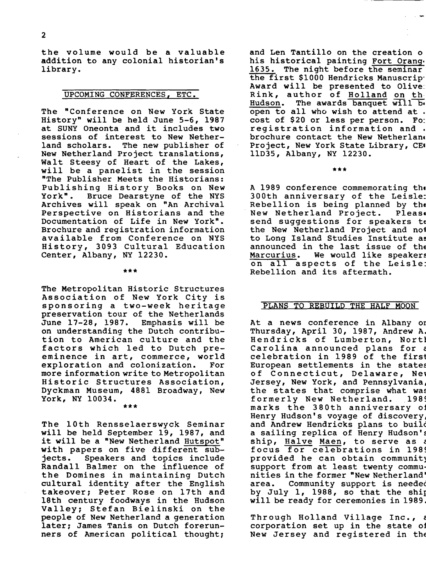the volume would be a valuable addition to any colonial historian's library.

#### UPCOMING CONFERENCES, ETC.

The "Conference on New York State History" will be held June 5-6, 1987 at SUNY Oneonta and it includes two sessions of interest to New Netherland scholars. The new publisher of New Netherland Project translations, Walt Steesy of Heart of the Lakes, will be a panelist in the session "The Publisher Meets the Historians: Publishing History Books on New<br>York". Bruce Dearstyne of the NYS Bruce Dearstyne of the NYS Archives will speak on "An Archival Perspective on Historians and the Documentation of Life in New York". Brochure and registration information available from Conference on NYS History, 3093 Cultural Education Center, Albany, NY 12230.

#### \*\*\*

The Metropolitan Historic Structures Association of New York City is sponsoring a two-week heritage preservation tour of the Netherlands<br>June 17-28, 1987. Emphasis will be June 17-28, 1987. on understanding the Dutch contribution to American culture and the factors which led to Dutch preeminence in art, commerce, world<br>exploration and colonization. For exploration and colonization. more information write to Metropolitan Historic Structures Association, Dyckman Museum, 4881 Broadway, New York, NY 10034.

\*\*\*

The 10th Rensselaerswyck Seminar will be held September 19, 1987, and it will be a "New Netherland Hutspot" with papers on five different subjects. Speakers and topics include Randall Balmer on the influence of the Domines in maintaining Dutch cultural identity after the English takeover; Peter Rose on 17th and 18th century foodways in the Hudson Valley; Stefan Bielinski on the people of New Netherland a generation later; James Tanis on Dutch forerunners of American political thought;

and Len Tantillo on the creation 0 his historical painting Fort Orang. 1635. The night before the seminar the first \$1000 Hendricks Manuscrip' Award will be presented to Olive: Rink, author of Holland on th Hudson. The awards banquet will be open to all who wish to attend at . cost of \$20 or less per person. Fo: registration information and . brochure contact the New Netherlan. Project, New York State Library, CEI llD35, Albany, NY 12230.

\*\*\*

A 1989 conference commemorating th. 300th anniversary of the Leisle: Rebellion is being planned by the<br>New Netherland Project. Please New Netherland Project. send suggestions for speakers to the New Netherland Project and n01 to Long Island Studies Institute as announced in the last issue of the<br>Marcurius. We would like speakers We would like speakers on all aspects of the Leisle: Rebellion and its aftermath.

## PLANS TO REBUILD THE HALF MOON

At a news conference in Albany or Thursday, April 30, 1987, Andrew A. Hendricks of Lumberton, Nortl Carolina announced plans for c celebration in 1989 of the first European settlements in the states of Connecticut, Delaware, Nel Jersey, New York, and Pennsylvania, the states that comprise what was<br>formerly New Netherland. 1989 formerly New Netherland. marks the 380th anniversary oj Henry Hudson's voyage of discovery. and Andrew Hendricks plans to builc a sailing replica of Henry Hudson's ship, Halve Maen, to serve as a focus for celebrations in 1989 provided he can obtain community support from at least twenty communities in the former "New Netherland' area. Community support is needed by July 1, 1988, so that the ship will be ready for ceremonies in 1989.

Through Holland Village Inc., c corporation set up in the state 01 New Jersey and registered in the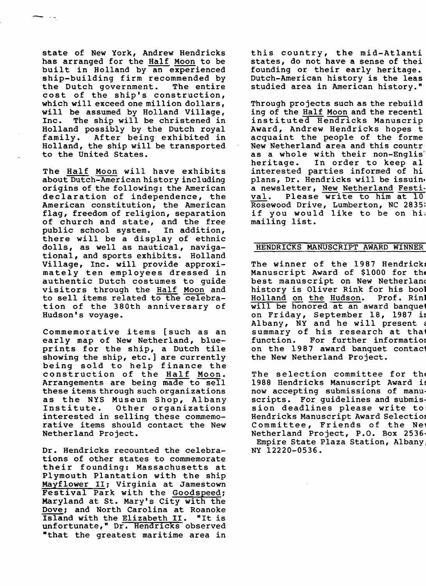state of New York, Andrew Hendricks has arranged for the Half Moon to be built in Holland by an experienced ship-building firm recommended by<br>the Dutch government. The entire the Dutch government. cost of the ship's construction, which will exceed one million dollars, will be assumed by Holland Village,<br>Inc. The ship will be christened in The ship will be christened in Holland possibly by the Dutch royal family. After being exhibited in Holland, the ship will be transported to the United States.

---

> The Half Moon will have exhibits about Dutch-American history including origins of the following: the American declaration of independence, the American constitution, the American flag, freedom of religion, separation of church and state, and the free public school system. In addition, there will be a display of ethnic dolls, as well as nautical, navigational, and sports exhibits. Holland Village, Inc. will provide approximately ten employees dressed in authentic Dutch costumes to guide visitors through the Half Moon and to sell items related to the celebration of the 380th anniversary of Hudson's voyage.

> Commemorative items [such as an early map of New Netherland, blueprints for the ship, a Dutch tile showing the ship, etc.] are currently being sold to help finance the construction of the Half Moon. Arrangements are being made to sell these items through such organizations as the NYS Museum Shop, Albany Other organizations interested in selling these commemorative items should contact the New Netherland Project.

> Dr. Hendricks recounted the celebrations of other states to commemorate their founding: Massachusetts at Plymouth Plantation with the ship Mayflower II: Virginia at Jamestown **Festival Park with the Goodspeed:** Maryland at St. Mary's City with the Dove; and North Carolina at Roanoke<br>Island with the Elizabeth II. "It is Island with the Elizabeth II. unfortunate," Dr. Hendricks observed "that the greatest maritime area in

this country, the mid-At1anti states, do not have a sense of thei founding or their early heritage. Dutch-American history is the leas studied area in American history."

Through projects such as the rebuild ing of the Half Moon and the recent1 instituted Hendricks Manuscrip Award, Andrew Hendricks hopes t acquaint the people of the forme New Netherland area and this countr as a whole with their non-Englis<br>heritage. In order to keep al In order to keep al interested parties informed of hi plans, Dr. Hendricks will be issuin. a newsletter, New Netherland Festi-<br>val. Please write to him at 10 Please write to him at 10 Rosewood Drive, Lumberton, NC 2835: if you would like to be on hi; mailing list.

# HENDRICKS MANUSCRIPT AWARD WINNER

The winner of the 1987 Hendrick: Manuscript Award of \$1000 for the best manuscript on New Netherlanc history is Oliver Rink for his bool<br>Holland on the Hudson. Prof. Rinl Holland on the Hudson. will be honored at an award banquet on Friday, September 18, 1987 in Albany, NY and he will present summary of his research at that<br>function. For further information For further information on the 1987 award banquet contact the New Netherland Project.

The selection committee for the 1988 Hendricks Manuscript Award is now accepting submissions of manuscripts. For guidelines and submission deadlines please write to: Hendricks Manuscript Award Selection Committee, Friends of the Ne, Netherland Project, P.O. Box 2536 Empire State Plaza Station, Albany NY 12220-0536.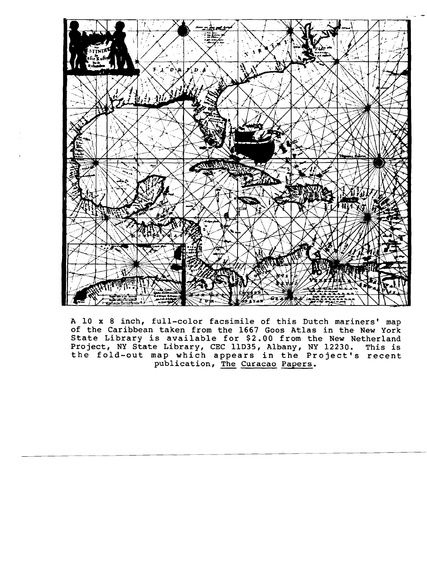

A 10 x 8 inch, fUll-color facsimile of this Dutch mariners' map of the Caribbean taken from the 1667 Goos Atlas in the New York State Library is available for \$2.00 from the New Netherland Project, NY State Library, CEC IlD35, Albany, NY 12230. This is the fold-out map which appears in the Project's recent publication, The Curacao Papers.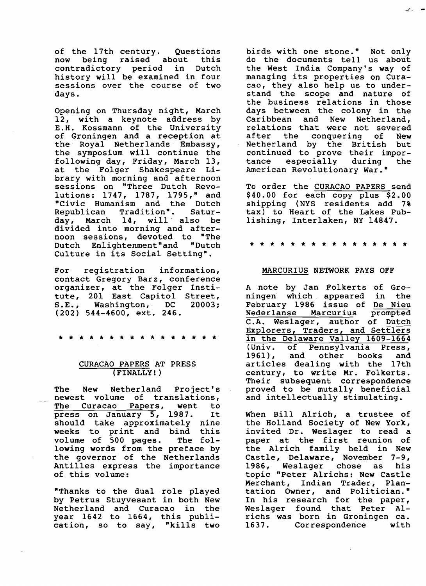of the 17th century. Questions<br>now being raised about this being raised about contradictory period in Dutch history will be examined in four sessions over the course of two days.

Opening on Thursday night, March 12, with a keynote address by E.H. Kossmann of the University of Groningen and a reception at the Royal Netherlands Embassy, the symposium will continue the following day, Friday, March 13, at the Folger Shakespeare Library with morning and afternoon sessions on "Three Dutch Revolutions: 1747, 1787, 1795," and "Civic Humanism and the Dutch Republican Tradition". Satur-<br>day. March 14. will also be day, March 14, will also divided into morning and afternoon sessions, devoted to "The<br>Dutch Enlightenment"and "Dutch Dutch Enlightenment"and Culture in its Social Setting".

For registration information, contact Gregory Barz, conference organizer, at the Folger Institute, 201 East Capitol Street,<br>S.E., Washington, DC 20003; Washington, DC (202) 544-4600, ext. 246.

\* \* \* \* \* \* \* \* \* \* \* \* \* \* \* \*

## CURACAO PAPERS AT PRESS (FINALLY! )

The New Netherland Project's newest volume of translations, The Curacao Papers, went to press on January 5, 1987. It should take approximately nine weeks to print and bind this<br>volume of 500 pages. The folvolume of 500 pages. lowing words from the preface by the governor of the Netherlands Antilles express the importance of this volume:

"Thanks to the dual role played by Petrus Stuyvesant in both New Netherland and Curacao in the year 1642 to 1664, this publication, so to say, "kills two

birds with one stone." Not only do the documents tell us about the West India Company's way of managing its properties on Curacao, they also help us to understand the scope and nature of the business relations in those days between the colony in the Caribbean and New Netherland, relations that were not severed<br>after the conquering of New after the conquering of New<br>Netherland by the British but Netherland by the British continued to prove their impor-<br>tance especially during the  $e$ specially American Revolutionary War."

To order the CURACAO PAPERS send \$40.00 for each copy plus \$2.00 shipping (NYS residents add 7% tax) to Heart of the Lakes Publishing, Interlaken, NY 14847.

\* \* \* \* \* \* \* \* \* \* \* \* \* \* \* \*

## MARCURIUS NETWORK PAYS OFF

A note by Jan Folkerts of Gro-<br>ningen which appeared in the ningen which appeared February 1986 issue of De Nieu<br>Nederlanse Marcurius prompted Nederlanse Marcurius C.A. Weslager, author of Dutch Explorers, Traders, and Settlers in the Delaware Valley 1609-1664<br>(Univ. of Pennsylvania Press, (Univ. of Pennsylvania Press, and other books and articles dealing with the 17th century, to write Mr. Folkerts. Their subsequent correspondence proved to be mutally beneficial and intellectually stimulating.

When Bill Alrich, a trustee of the Holland Society of New York, invited Dr. Weslager to read a paper at the first reunion of the Alrich family held in New Castle, Delaware, November 7-9, 1986, Weslager chose as his topic "Peter Alrichs: New Castle Merchant, Indian Trader, Plantation Owner, and Politician." In his research for the paper, Weslager found that Peter Alrichs was born in Groningen ca. Correspondence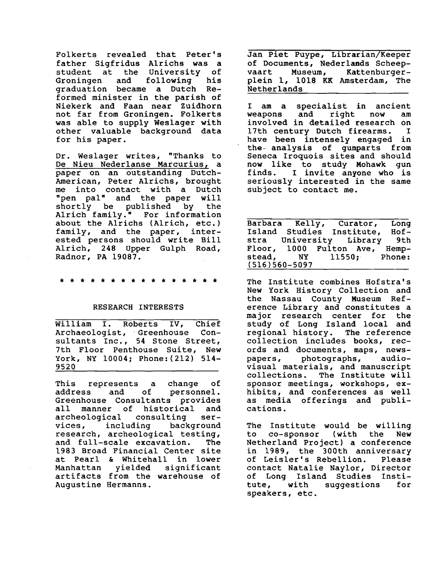Folkerts revealed that Peter's father Sigfridus Alrichs was a student at the University of<br>Groningen and following his following graduation became a Dutch Reformed minister in the parish of Niekerk and Faan near Zuidhorn not far from Groningen. Folkerts was able to supply Weslager with other valuable background data for his paper.

Dr. Weslager writes, "Thanks to De Nieu Nederlanse Marcurius, a paper on an outstanding Dutch-American, Peter Alrichs, brought me into contact with a Dutch "pen pal" and the paper will shortly be published by the Alrich family." For information about the Alrichs (Alrich, etc.) family, and the paper, interested persons should write Bill Alrich, 248 Upper Gulph Road, Radnor, PA 19087.

## \* \* \* \* \* \* \* \* \* \* \* \* \* \* \* \*

#### RESEARCH INTERESTS

William I. Roberts IV, Chief<br>Archaeologist, Greenhouse Con-Archaeologist, Greenhouse sultants Inc., 54 Stone Street, 7th Floor Penthouse Suite, New York, NY 10004; Phone: (212) 514 9520

This represents a change of<br>address and of personnel. personnel. Greenhouse Consultants provides<br>all manner of historical and manner of historical and<br>ological consulting serarcheological vices, including background research, archeological testing, and full-scale excavation. The 1983 Broad Financial Center site at Pearl & Whitehall in lower Manhattan yielded significant artifacts from the warehouse of Augustine Hermanns.

Jan Piet Puype, Librarian/Keeper of Documents, Nederlands Scheepvaart Museum, Kattenburgerplein 1, 1018 KK Amsterdam, The Netherlands

I I am a specialist in ancient<br>weapons and right now am weapons and right involved in detailed research on 17th century Dutch firearms. have been intensely engaged in the- analysis of gunparts from Seneca Iroquois sites and should now like to study Mohawk gun finds. I invite anyone who is seriously interested in the same subject to contact me.

Barbara Kelly, Curator, Long<br>Island Studies Institute, Hof-Island Studies Institute, Hofstra University Library Floor, 1000 Fulton Ave, Hemp-<br>stead, NY 11550; Phone:  $11550$ ; Phone: (516)560-5097

The Institute combines Hofstra's New York History Collection and the Nassau County Museum Reference Library and constitutes a major research center for the study of Long Island local and regional history. The reference collection includes books, records and documents, maps, newspapers, photographs, audiovisual materials, and manuscript collections. The Institute will sponsor meetings, workshops, exhibits, and conferences as well as media offerings and publications.

The Institute would be willing<br>to co-sponsor (with the New to co-sponsor (with Netherland Project) a conference in 1989, the 300th anniversary of Leisler's Rebellion. Please contact Natalie Naylor, Director of Long Island Studies Insti-<br>tute, with suggestions for suggestions speakers, etc.